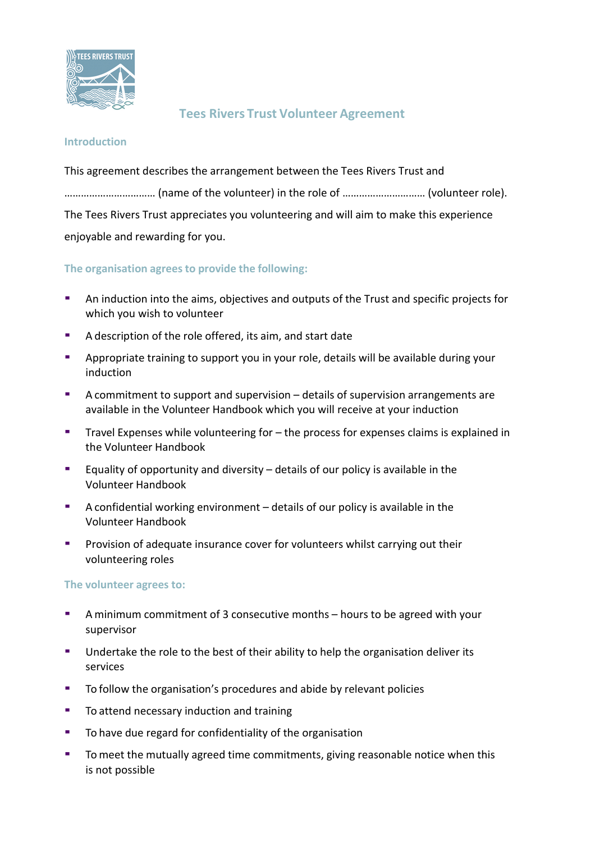

## **Tees Rivers Trust Volunteer Agreement**

## **Introduction**

This agreement describes the arrangement between the Tees Rivers Trust and …………………………… (name of the volunteer) in the role of ………………………… (volunteer role). The Tees Rivers Trust appreciates you volunteering and will aim to make this experience enjoyable and rewarding for you.

**The organisation agrees to provide the following:**

- An induction into the aims, objectives and outputs of the Trust and specific projects for which you wish to volunteer
- A description of the role offered, its aim, and start date
- Appropriate training to support you in your role, details will be available during your induction
- A commitment to support and supervision details of supervision arrangements are available in the Volunteer Handbook which you will receive at your induction
- Travel Expenses while volunteering for the process for expenses claims is explained in the Volunteer Handbook
- Equality of opportunity and diversity  $-$  details of our policy is available in the Volunteer Handbook
- A confidential working environment details of our policy is available in the Volunteer Handbook
- Provision of adequate insurance cover for volunteers whilst carrying out their volunteering roles

**The volunteer agrees to:**

- A minimum commitment of 3 consecutive months hours to be agreed with your supervisor
- Undertake the role to the best of their ability to help the organisation deliver its services
- To follow the organisation's procedures and abide by relevant policies
- To attend necessary induction and training
- To have due regard for confidentiality of the organisation
- To meet the mutually agreed time commitments, giving reasonable notice when this is not possible